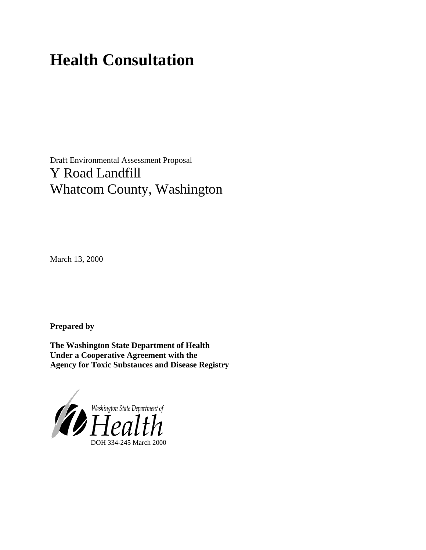# **Health Consultation**

Draft Environmental Assessment Proposal Y Road Landfill Whatcom County, Washington

March 13, 2000

**Prepared by**

**The Washington State Department of Health Under a Cooperative Agreement with the Agency for Toxic Substances and Disease Registry**

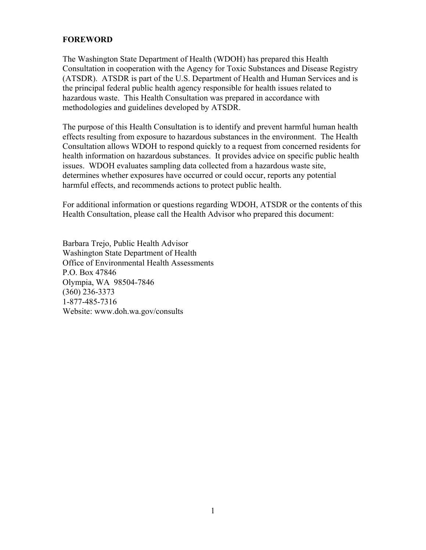## **FOREWORD**

The Washington State Department of Health (WDOH) has prepared this Health Consultation in cooperation with the Agency for Toxic Substances and Disease Registry (ATSDR). ATSDR is part of the U.S. Department of Health and Human Services and is the principal federal public health agency responsible for health issues related to hazardous waste. This Health Consultation was prepared in accordance with methodologies and guidelines developed by ATSDR.

The purpose of this Health Consultation is to identify and prevent harmful human health effects resulting from exposure to hazardous substances in the environment. The Health Consultation allows WDOH to respond quickly to a request from concerned residents for health information on hazardous substances. It provides advice on specific public health issues. WDOH evaluates sampling data collected from a hazardous waste site, determines whether exposures have occurred or could occur, reports any potential harmful effects, and recommends actions to protect public health.

For additional information or questions regarding WDOH, ATSDR or the contents of this Health Consultation, please call the Health Advisor who prepared this document:

Barbara Trejo, Public Health Advisor Washington State Department of Health Office of Environmental Health Assessments P.O. Box 47846 Olympia, WA 98504-7846 (360) 236-3373 1-877-485-7316 Website: www.doh.wa.gov/consults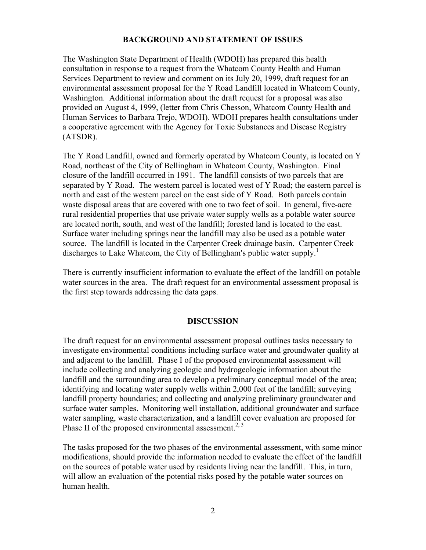#### **BACKGROUND AND STATEMENT OF ISSUES**

The Washington State Department of Health (WDOH) has prepared this health consultation in response to a request from the Whatcom County Health and Human Services Department to review and comment on its July 20, 1999, draft request for an environmental assessment proposal for the Y Road Landfill located in Whatcom County, Washington. Additional information about the draft request for a proposal was also provided on August 4, 1999, (letter from Chris Chesson, Whatcom County Health and Human Services to Barbara Trejo, WDOH). WDOH prepares health consultations under a cooperative agreement with the Agency for Toxic Substances and Disease Registry (ATSDR).

The Y Road Landfill, owned and formerly operated by Whatcom County, is located on Y Road, northeast of the City of Bellingham in Whatcom County, Washington. Final closure of the landfill occurred in 1991. The landfill consists of two parcels that are separated by Y Road. The western parcel is located west of Y Road; the eastern parcel is north and east of the western parcel on the east side of Y Road. Both parcels contain waste disposal areas that are covered with one to two feet of soil. In general, five-acre rural residential properties that use private water supply wells as a potable water source are located north, south, and west of the landfill; forested land is located to the east. Surface water including springs near the landfill may also be used as a potable water source. The landfill is located in the Carpenter Creek drainage basin. Carpenter Creek discharges to Lake Whatcom, the City of Bellingham's public water supply.<sup>1</sup>

There is currently insufficient information to evaluate the effect of the landfill on potable water sources in the area. The draft request for an environmental assessment proposal is the first step towards addressing the data gaps.

#### **DISCUSSION**

The draft request for an environmental assessment proposal outlines tasks necessary to investigate environmental conditions including surface water and groundwater quality at and adjacent to the landfill. Phase I of the proposed environmental assessment will include collecting and analyzing geologic and hydrogeologic information about the landfill and the surrounding area to develop a preliminary conceptual model of the area; identifying and locating water supply wells within 2,000 feet of the landfill; surveying landfill property boundaries; and collecting and analyzing preliminary groundwater and surface water samples. Monitoring well installation, additional groundwater and surface water sampling, waste characterization, and a landfill cover evaluation are proposed for Phase II of the proposed environmental assessment.<sup>2, 3</sup>

The tasks proposed for the two phases of the environmental assessment, with some minor modifications, should provide the information needed to evaluate the effect of the landfill on the sources of potable water used by residents living near the landfill. This, in turn, will allow an evaluation of the potential risks posed by the potable water sources on human health.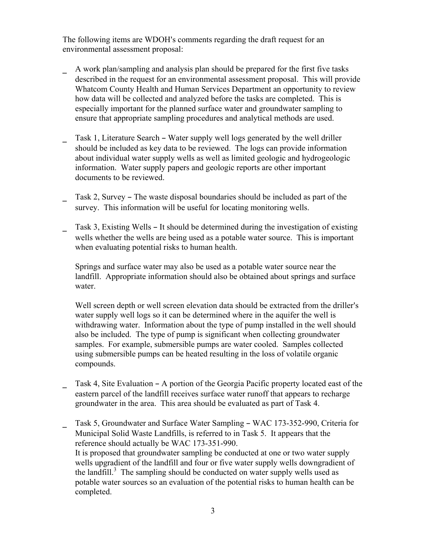The following items are WDOH's comments regarding the draft request for an environmental assessment proposal:

- \_ A work plan/sampling and analysis plan should be prepared for the first five tasks described in the request for an environmental assessment proposal. This will provide Whatcom County Health and Human Services Department an opportunity to review how data will be collected and analyzed before the tasks are completed. This is especially important for the planned surface water and groundwater sampling to ensure that appropriate sampling procedures and analytical methods are used.
- Task 1, Literature Search Water supply well logs generated by the well driller should be included as key data to be reviewed. The logs can provide information about individual water supply wells as well as limited geologic and hydrogeologic information. Water supply papers and geologic reports are other important documents to be reviewed.
- $\Box$  Task 2, Survey The waste disposal boundaries should be included as part of the survey. This information will be useful for locating monitoring wells.
- Task 3, Existing Wells It should be determined during the investigation of existing wells whether the wells are being used as a potable water source. This is important when evaluating potential risks to human health.

 Springs and surface water may also be used as a potable water source near the landfill. Appropriate information should also be obtained about springs and surface water.

Well screen depth or well screen elevation data should be extracted from the driller's water supply well logs so it can be determined where in the aquifer the well is withdrawing water. Information about the type of pump installed in the well should also be included. The type of pump is significant when collecting groundwater samples. For example, submersible pumps are water cooled. Samples collected using submersible pumps can be heated resulting in the loss of volatile organic compounds.

- Task 4, Site Evaluation A portion of the Georgia Pacific property located east of the eastern parcel of the landfill receives surface water runoff that appears to recharge groundwater in the area. This area should be evaluated as part of Task 4.
- Task 5, Groundwater and Surface Water Sampling WAC 173-352-990, Criteria for Municipal Solid Waste Landfills, is referred to in Task 5. It appears that the reference should actually be WAC 173-351-990. It is proposed that groundwater sampling be conducted at one or two water supply wells upgradient of the landfill and four or five water supply wells downgradient of the landfill.<sup>3</sup> The sampling should be conducted on water supply wells used as potable water sources so an evaluation of the potential risks to human health can be completed.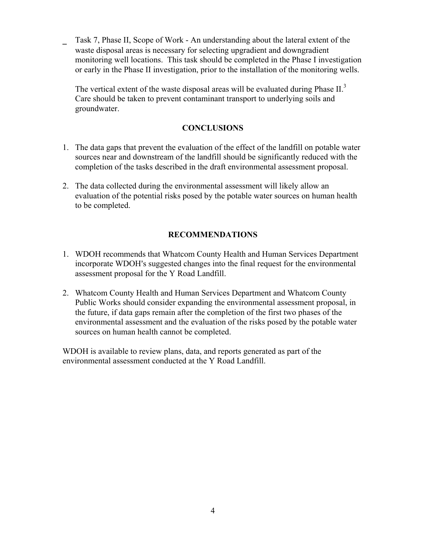Task 7, Phase II, Scope of Work - An understanding about the lateral extent of the waste disposal areas is necessary for selecting upgradient and downgradient monitoring well locations. This task should be completed in the Phase I investigation or early in the Phase II investigation, prior to the installation of the monitoring wells.

The vertical extent of the waste disposal areas will be evaluated during Phase  $II$ .<sup>3</sup> Care should be taken to prevent contaminant transport to underlying soils and groundwater.

# **CONCLUSIONS**

- 1. The data gaps that prevent the evaluation of the effect of the landfill on potable water sources near and downstream of the landfill should be significantly reduced with the completion of the tasks described in the draft environmental assessment proposal.
- 2. The data collected during the environmental assessment will likely allow an evaluation of the potential risks posed by the potable water sources on human health to be completed.

# **RECOMMENDATIONS**

- 1. WDOH recommends that Whatcom County Health and Human Services Department incorporate WDOH's suggested changes into the final request for the environmental assessment proposal for the Y Road Landfill.
- 2. Whatcom County Health and Human Services Department and Whatcom County Public Works should consider expanding the environmental assessment proposal, in the future, if data gaps remain after the completion of the first two phases of the environmental assessment and the evaluation of the risks posed by the potable water sources on human health cannot be completed.

WDOH is available to review plans, data, and reports generated as part of the environmental assessment conducted at the Y Road Landfill.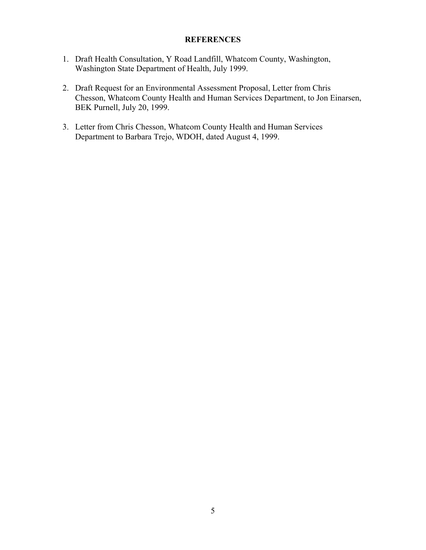### **REFERENCES**

- 1. Draft Health Consultation, Y Road Landfill, Whatcom County, Washington, Washington State Department of Health, July 1999.
- 2. Draft Request for an Environmental Assessment Proposal, Letter from Chris Chesson, Whatcom County Health and Human Services Department, to Jon Einarsen, BEK Purnell, July 20, 1999.
- 3. Letter from Chris Chesson, Whatcom County Health and Human Services Department to Barbara Trejo, WDOH, dated August 4, 1999.